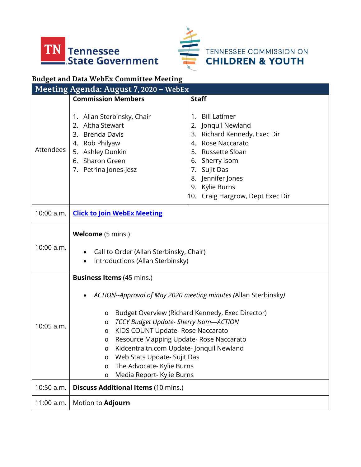



TENNESSEE COMMISSION ON<br>CHILDREN & YOUTH

## **Budget and Data WebEx Committee Meeting**

| Meeting Agenda: August 7, 2020 - WebEx |                                                                                                                                                                                                                                                                                                                                                                                                                                                                                             |                                                                                                                                                                                                                              |
|----------------------------------------|---------------------------------------------------------------------------------------------------------------------------------------------------------------------------------------------------------------------------------------------------------------------------------------------------------------------------------------------------------------------------------------------------------------------------------------------------------------------------------------------|------------------------------------------------------------------------------------------------------------------------------------------------------------------------------------------------------------------------------|
|                                        | <b>Commission Members</b>                                                                                                                                                                                                                                                                                                                                                                                                                                                                   | <b>Staff</b>                                                                                                                                                                                                                 |
| Attendees                              | 1. Allan Sterbinsky, Chair<br>Altha Stewart<br>2.<br>3. Brenda Davis<br>4. Rob Philyaw<br>5. Ashley Dunkin<br>6. Sharon Green<br>7. Petrina Jones-Jesz                                                                                                                                                                                                                                                                                                                                      | 1. Bill Latimer<br>2. Jonquil Newland<br>3. Richard Kennedy, Exec Dir<br>4. Rose Naccarato<br>5. Russette Sloan<br>6. Sherry Isom<br>7. Sujit Das<br>8. Jennifer Jones<br>9. Kylie Burns<br>10. Craig Hargrow, Dept Exec Dir |
| 10:00 a.m.                             | <b>Click to Join WebEx Meeting</b>                                                                                                                                                                                                                                                                                                                                                                                                                                                          |                                                                                                                                                                                                                              |
| 10:00 a.m.                             | Welcome (5 mins.)<br>Call to Order (Allan Sterbinsky, Chair)<br>$\bullet$<br>Introductions (Allan Sterbinsky)                                                                                                                                                                                                                                                                                                                                                                               |                                                                                                                                                                                                                              |
| 10:05 a.m.                             | <b>Business Items</b> (45 mins.)<br>ACTION--Approval of May 2020 meeting minutes (Allan Sterbinsky)<br>Budget Overview (Richard Kennedy, Exec Director)<br>O<br>TCCY Budget Update- Sherry Isom-ACTION<br>O<br>KIDS COUNT Update- Rose Naccarato<br>$\circ$<br>Resource Mapping Update- Rose Naccarato<br>$\circ$<br>Kidcentraltn.com Update-Jonquil Newland<br>O<br>Web Stats Update- Sujit Das<br>$\circ$<br>The Advocate- Kylie Burns<br>$\circ$<br>Media Report- Kylie Burns<br>$\circ$ |                                                                                                                                                                                                                              |
| 10:50 a.m.                             | <b>Discuss Additional Items (10 mins.)</b>                                                                                                                                                                                                                                                                                                                                                                                                                                                  |                                                                                                                                                                                                                              |
| $11:00$ a.m.                           | Motion to <b>Adjourn</b>                                                                                                                                                                                                                                                                                                                                                                                                                                                                    |                                                                                                                                                                                                                              |